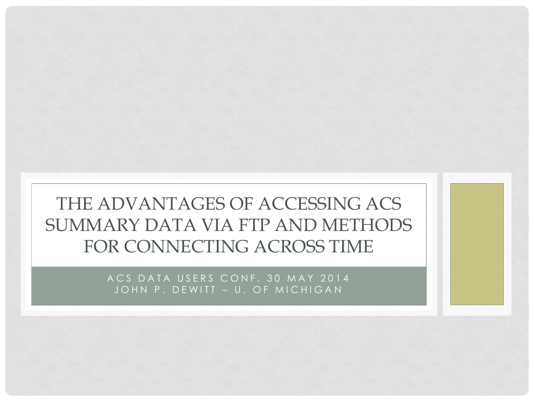#### THE ADVANTAGES OF ACCESSING ACS SUMMARY DATA VIA FTP AND METHODS FOR CONNECTING ACROSS TIME

ACS DATA USERS CONF. 30 MAY 2014 JOHN P. DEWITT - U. OF MICHIGAN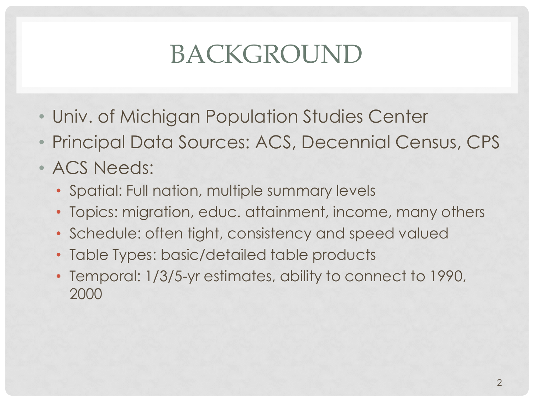# BACKGROUND

- Univ. of Michigan Population Studies Center
- Principal Data Sources: ACS, Decennial Census, CPS
- ACS Needs:
	- Spatial: Full nation, multiple summary levels
	- Topics: migration, educ. attainment, income, many others
	- Schedule: often tight, consistency and speed valued
	- Table Types: basic/detailed table products
	- Temporal: 1/3/5-yr estimates, ability to connect to 1990, 2000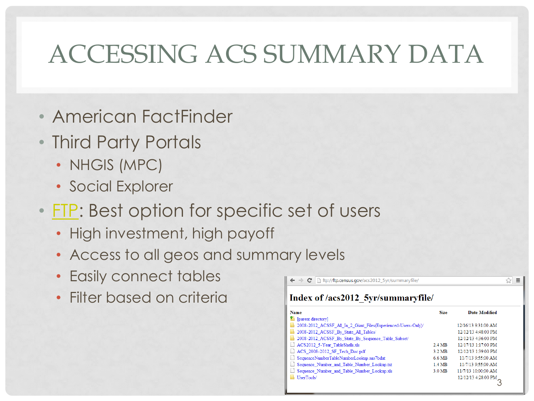#### ACCESSING ACS SUMMARY DATA

- American FactFinder
- Third Party Portals
	- NHGIS (MPC)
	- Social Explorer
- [FTP](ftp://ftp.census.gov/): Best option for specific set of users
	- High investment, high payoff
	- Access to all geos and summary levels
	- Easily connect tables
	- Filter based on criteria

| <b>Name</b>                                                   | <b>Size</b>       | Date Modified       |
|---------------------------------------------------------------|-------------------|---------------------|
| [parent directory]                                            |                   |                     |
| 2008-2012 ACSSF All In 2 Giant Files(Experienced-Users-Only)/ |                   | 12/16/13 9:31:00 AM |
| 2008-2012 ACSSF By State All Tables/                          |                   | 12/12/13 4:48:00 PM |
| 2008-2012 ACSSF By State By Sequence Table Subset/            |                   | 12/12/13 4:36:00 PM |
| ACS2012 5-Year TableShells.xls                                | 2.4 MB            | 12/17/13 1:17:00 PM |
| ACS 2008-2012 SF Tech Doc.pdf                                 | $3.2 \text{ MB}$  | 12/12/13 1:39:00 PM |
| SequenceNumberTableNumberLookup.sas7bdat                      | 6.6 MB            | 11/7/13 9:55:00 AM  |
| Sequence Number and Table Number Lookup.txt                   | 1.4 MB            | 11/7/13 9:55:00 AM  |
| Sequence Number and Table Number Lookup.xls                   | 3.0 <sub>MB</sub> | 11/7/13 10:00:00 AM |
| UserTools/                                                    |                   | 12/12/13 4:28:00 PM |

☆ ≡

 $\mathbf{C}$  | ftp://ftp.census.gov/acs2012\_5yr/summaryfile/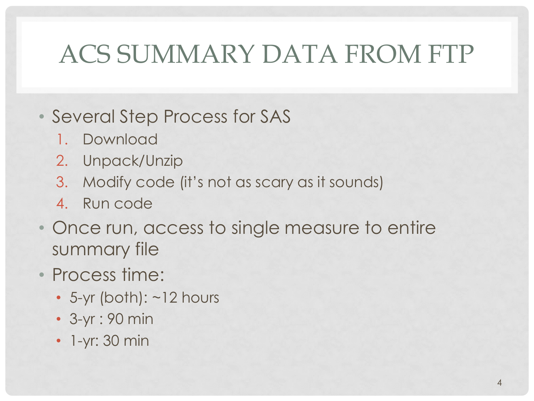# ACS SUMMARY DATA FROM FTP

- Several Step Process for SAS
	- 1. Download
	- 2. Unpack/Unzip
	- 3. Modify code (it's not as scary as it sounds)
	- 4. Run code
- Once run, access to single measure to entire summary file
- Process time:
	- 5-yr (both): ~12 hours
	- 3-yr : 90 min
	- 1-yr: 30 min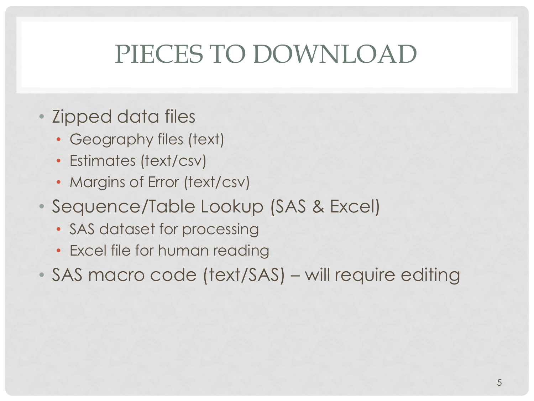# PIECES TO DOWNLOAD

- Zipped data files
	- Geography files (text)
	- Estimates (text/csv)
	- Margins of Error (text/csv)
- Sequence/Table Lookup (SAS & Excel)
	- SAS dataset for processing
	- Excel file for human reading
- SAS macro code (text/SAS) will require editing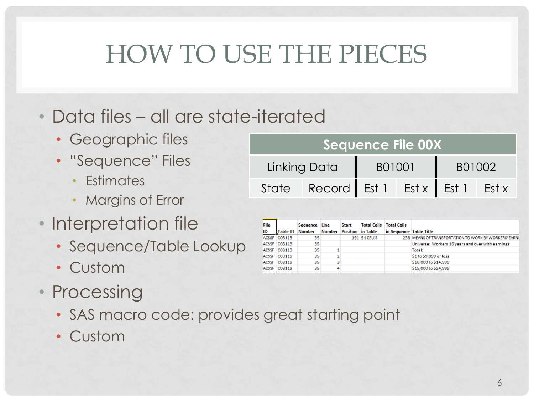# HOW TO USE THE PIECES

- Data files all are state-iterated
	- Geographic files
	- "Sequence" Files
		- Estimates
		- Margins of Error
- Interpretation file
	- Sequence/Table Lookup
	- Custom
- Processing
	- SAS macro code: provides great starting point
	- Custom

| Sequence File 00X                      |        |  |        |  |  |  |  |  |  |  |  |  |  |  |
|----------------------------------------|--------|--|--------|--|--|--|--|--|--|--|--|--|--|--|
| Linking Data                           | B01001 |  | B01002 |  |  |  |  |  |  |  |  |  |  |  |
| State Record Est 1 Est x   Est 1 Est x |        |  |        |  |  |  |  |  |  |  |  |  |  |  |

| File |              | Sequence Line |               | <b>Start</b>             | <b>Total Cells</b>  | <b>Total Cells</b>      |                                                       |
|------|--------------|---------------|---------------|--------------------------|---------------------|-------------------------|-------------------------------------------------------|
| ID   | Table ID     | <b>Number</b> | <b>Number</b> | <b>Position</b> in Table |                     | in Sequence Table Title |                                                       |
|      | ACSSF C08119 | 35            |               |                          | <b>191 54 CELLS</b> |                         | 238 MEANS OF TRANSPORTATION TO WORK BY WORKERS' EARNI |
|      | ACSSF C08119 | 35            |               |                          |                     |                         | Universe: Workers 16 years and over with earnings     |
|      | ACSSF C08119 | 35            |               |                          |                     |                         | Total:                                                |
|      | ACSSF C08119 | 35            |               |                          |                     |                         | \$1 to \$9,999 or loss                                |
|      | ACSSF CO8119 | 35            |               |                          |                     |                         | \$10,000 to \$14,999                                  |
|      | ACSSF CO8119 | 35            |               |                          |                     |                         | \$15,000 to \$24,999                                  |
|      | .            | --            |               |                          |                     |                         | ------                                                |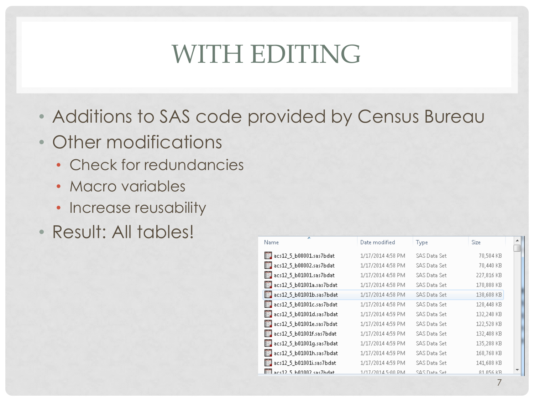# WITH EDITING

- Additions to SAS code provided by Census Bureau
- Other modifications
	- Check for redundancies
	- Macro variables
	- Increase reusability
- Result: All tables!

| Name                                   | Date modified     | Type          | <b>Size</b> |  |
|----------------------------------------|-------------------|---------------|-------------|--|
| acs12_5_b00001.sas7bdat                | 1/17/2014 4:58 PM | SAS Data Set  | 70,504 KB   |  |
| acs12_5_b00002.sas7bdat                | 1/17/2014 4:58 PM | SAS Data Set  | 70,440 KB   |  |
| acs12_5_b01001.sas7bdat                | 1/17/2014 4:58 PM | SAS Data Set  | 227,816 KB  |  |
| acs12_5_b01001a.sas7bdat               | 1/17/2014 4:58 PM | SAS Data Set  | 170,888 KB  |  |
| acs12_5_b01001b.sas7bdat               | 1/17/2014 4:58 PM | SAS Data Set  | 138,608 KB  |  |
| $\frac{1}{2}$ acs12 5 b01001c.sas7bdat | 1/17/2014 4:58 PM | SAS Data Set  | 128,448 KB  |  |
| ■■ acs12 5 b01001d.sas7bdat            | 1/17/2014 4:59 PM | SAS Data Set  | 132,248 KB  |  |
| $\mathbb{H}$ acs12 5 b01001e.sas7bdat  | 1/17/2014 4:59 PM | SAS Data Set  | 122,528 KB  |  |
| $\mathbb{H}$ acs12 5 b01001f.sas7bdat  | 1/17/2014 4:59 PM | SAS Data Set  | 132,408 KB  |  |
| acs12_5_b01001g.sas7bdat               | 1/17/2014 4:59 PM | SAS Data Set  | 135,288 KB  |  |
| 图 acs12 5 b01001h.sas7bdat             | 1/17/2014 4:59 PM | SAS Data Set  | 168,768 KB  |  |
| acs12_5_b01001i.sas7bdat               | 1/17/2014 4:59 PM | SAS Data Set  | 141,688 KB  |  |
| $\mathbb{H}$ ans 12.5 b01002 sas Zhdat | 1/17/2014 5:00 PM | te2 stsf1.242 | 81 056 KB   |  |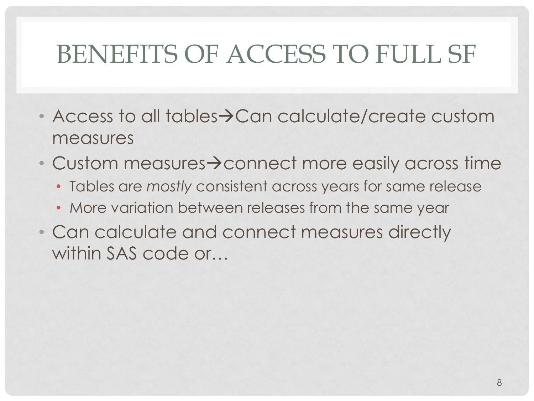# BENEFITS OF ACCESS TO FULL SF

- $\cdot$  Access to all tables $\rightarrow$ Can calculate/create custom measures
- Custom measures $\rightarrow$  connect more easily across time
	- Tables are *mostly* consistent across years for same release
	- More variation between releases from the same year
- Can calculate and connect measures directly within SAS code or…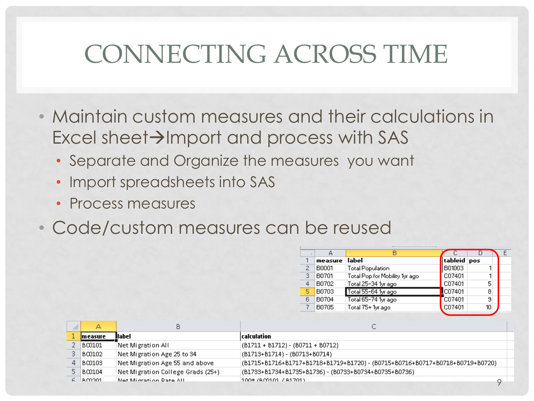#### CONNECTING ACROSS TIME

- Maintain custom measures and their calculations in  $Excel sheet\rightarrow$ Import and process with SAS
	- Separate and Organize the measures you want
	- Import spreadsheets into SAS
	- Process measures
- Code/custom measures can be reused

|   |         | в                              |                |    |  |
|---|---------|--------------------------------|----------------|----|--|
|   | measure | label                          | tableid pos    |    |  |
| 2 | B0001   | <b>Total Population</b>        | B01003         |    |  |
| з | B0701   | Total Pop for Mobility 1yr ago | C07401         |    |  |
| 4 | B0702   | Total 25-34 1yr ago            | C07401         | 5  |  |
| 5 | B0703   | Total 55-64 1yr ago            | <b>IC07401</b> | 8  |  |
| 6 | B0704   | Total 65-74 1yr ago            | C07401         | 9  |  |
|   | B0705   | Total 75+ 1yr ago              | C07401         | 10 |  |
|   |         |                                |                |    |  |

|            | В                                 | ◡                                                                           |  |
|------------|-----------------------------------|-----------------------------------------------------------------------------|--|
| measure    | llabel                            | calculation                                                                 |  |
| BO0101     | Net Migration All                 | (B1711 + B1712) - (B0711 + B0712)                                           |  |
| $3$ BC0102 | Net Migration Age 25 to 34        | (B1713+B1714) - (B0713+B0714)                                               |  |
| $4$ BC0103 | Net Migration Age 55 and above    | (B1715+B1716+B1717+B1718+B1719+B1720)-(B0715+B0716+B0717+B0718+B0719+B0720) |  |
| $5$ BC0104 | Net Migration College Grads (25+) | (B1733+B1734+B1735+B1736) - (B0733+B0734+B0735+B0736)                       |  |
| LB CO201   | Net Microtion Pate All            | 100* (BO0101 / B1701)                                                       |  |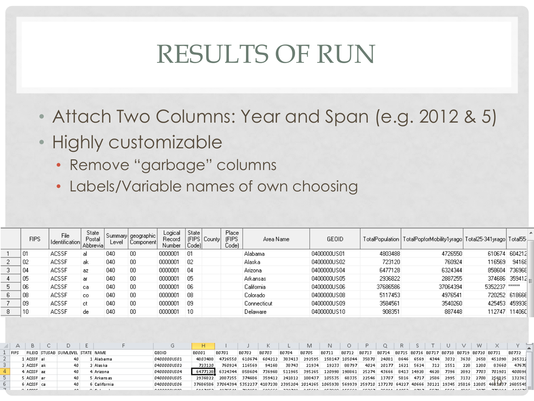#### RESULTS OF RUN

- Attach Two Columns: Year and Span (e.g. 2012 & 5)
- Highly customizable
	- Remove "garbage" columns
	- Labels/Variable names of own choosing

|   | <b>FIPS</b> | File<br>Identification | <b>State</b><br>Postal<br><b>Abbrevial</b> | Level | Summary   geographic  <br>  Component! | Logical<br>Record<br>Number | State<br>Code) | [FIPS   County] | Place<br><b>IFIPS</b><br>Code) | Area Name   | GEOID       |          | TotalPopulation   TotalPopforMobility1yrago   Total25-341yrago   Total55- |                |                     |  |
|---|-------------|------------------------|--------------------------------------------|-------|----------------------------------------|-----------------------------|----------------|-----------------|--------------------------------|-------------|-------------|----------|---------------------------------------------------------------------------|----------------|---------------------|--|
|   | 01          | <b>ACSSF</b>           | al                                         | 040   | 00                                     | 0000001                     | -01            |                 |                                | Alabama     | 0400000US01 | 4803488  | 4726550                                                                   |                | 610674 604212       |  |
|   | 02          | <b>ACSSF</b>           | ak                                         | 040   | 00                                     | 0000001                     | 02             |                 |                                | Alaska      | 0400000US02 | 723120   | 760924                                                                    | 116569         | 94168               |  |
| 3 | 04          | ACSSF                  | az.                                        | 040   | 00                                     | 0000001                     | 04             |                 |                                | Arizona     | 0400000US04 | 6477128  | 6324344                                                                   | 858604         | 736968              |  |
|   | 05          | <b>ACSSF</b>           | ar                                         | 040   | 00                                     | 0000001                     | 05             |                 |                                | Arkansas    | 0400000US05 | 2936822  | 2887255                                                                   |                | 374686 359412 $\pm$ |  |
| 5 | 06          | <b>ACSSF</b>           | ca                                         | 040   | 00                                     | 0000001                     | 06             |                 |                                | California  | 0400000US06 | 37686586 | 37064394                                                                  | 5352237 ****** |                     |  |
| 6 | 08          | <b>ACSSF</b>           | CO.                                        | 040   | 00                                     | 0000001                     | 08             |                 |                                | Colorado    | 0400000US08 | 5117453  | 4976541                                                                   |                | 720252 61866E       |  |
|   | 09          | ACSSF                  | ct                                         | 040   | 00                                     | 0000001                     | 09             |                 |                                | Connecticut | 0400000US09 | 3584561  | 3540260                                                                   |                | 425453 459938       |  |
| 8 | 10          | ACSSF                  | de                                         | 040   | 00                                     | 0000001                     | 10             |                 |                                | Delaware    | 0400000US10 | 908351   | 887448                                                                    | 112747         | 114060              |  |
|   |             |                        |                                            |       |                                        |                             |                |                 |                                |             |             |          |                                                                           |                |                     |  |

|              |                |                                       |            |             |                                                                                                                                    |                                                                                            |        |        |               |              | N.                                               |       |                                                               |       |           |     |      |      |      |               |        |
|--------------|----------------|---------------------------------------|------------|-------------|------------------------------------------------------------------------------------------------------------------------------------|--------------------------------------------------------------------------------------------|--------|--------|---------------|--------------|--------------------------------------------------|-------|---------------------------------------------------------------|-------|-----------|-----|------|------|------|---------------|--------|
| <b>TEIPS</b> |                | FILEID ISTUSAB ISUMLEVEL ISTATE INAME |            | GEOID       | <b>B0001</b>                                                                                                                       | B0701                                                                                      | B0702  | B0703  | B0704         | <b>B0705</b> | B0711                                            | B0712 | B0713  B0714  B0715  B0716  B0717  B0718  B0719  B0720  B0731 |       |           |     |      |      |      |               | B0732  |
|              | l ACSSF Lati   |                                       | Alabama    | 0400000US01 | 4803488                                                                                                                            | 4726550                                                                                    | 610674 | 604212 | 383413        |              | 292595 158147 105044 35870 24081 8646 6569 4344  |       |                                                               |       |           |     | 3032 | 3630 |      | 2658 451098   | 265312 |
|              | 2 LACSSE Lak   |                                       | Alaska i   | 0400000US02 | 723120                                                                                                                             | 760924                                                                                     | 116569 | 94168  | 38743         | 21934        | 19233                                            | 88797 | 4024                                                          | 20177 | 1621 5624 | 312 | 1551 | -228 | 1280 | 83660         | 47678  |
|              | 4 ACSSF az     |                                       | Arizona.   | 0400000US04 |                                                                                                                                    | 6477128 6324344                                                                            | 858604 |        | 736968 511965 |              | 395265 120998 198861 25274 43666 8413 14928 4628 |       |                                                               |       |           |     | 7396 | 2892 | 7703 | 701901 400896 |        |
|              | 5   ACSSE   ar |                                       | Arkans as  | 0400000US05 | 2936822                                                                                                                            | 2887255 374686 359412 241812 188437 105535 68335 22546 13707 5816 4717 2586 2995 3132 2708 |        |        |               |              |                                                  |       |                                                               |       |           |     |      |      |      | 256825 132363 |        |
|              | FACSSE call    |                                       | California | 0400000US06 | 37686586 37064394 5352237 4187238 2395204 2014265 1065938 569939 259710 137270 64227 40666 30121 19345 25816 12805 4683937 2685549 |                                                                                            |        |        |               |              |                                                  |       |                                                               |       |           |     |      |      |      |               |        |
|              | . . conce      | $\theta$                              |            |             |                                                                                                                                    |                                                                                            |        |        |               |              |                                                  |       |                                                               |       |           |     |      |      |      |               |        |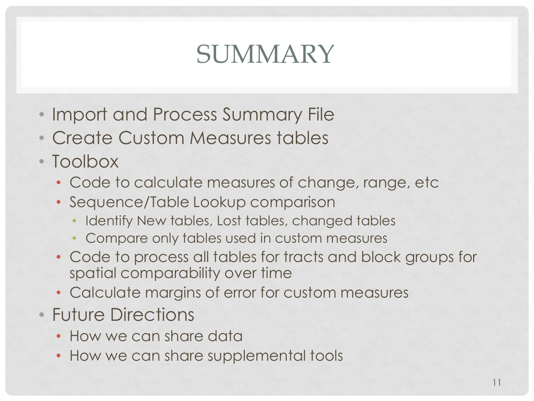# SUMMARY

- Import and Process Summary File
- Create Custom Measures tables
- Toolbox
	- Code to calculate measures of change, range, etc
	- Sequence/Table Lookup comparison
		- Identify New tables, Lost tables, changed tables
		- Compare only tables used in custom measures
	- Code to process all tables for tracts and block groups for spatial comparability over time
	- Calculate margins of error for custom measures
- Future Directions
	- How we can share data
	- How we can share supplemental tools